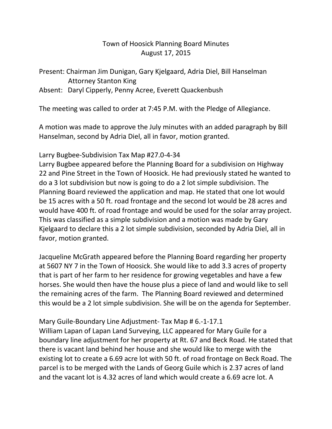## Town of Hoosick Planning Board Minutes August 17, 2015

#### Present: Chairman Jim Dunigan, Gary Kjelgaard, Adria Diel, Bill Hanselman Attorney Stanton King

Absent: Daryl Cipperly, Penny Acree, Everett Quackenbush

The meeting was called to order at 7:45 P.M. with the Pledge of Allegiance.

A motion was made to approve the July minutes with an added paragraph by Bill Hanselman, second by Adria Diel, all in favor, motion granted.

### Larry Bugbee-Subdivision Tax Map #27.0-4-34

Larry Bugbee appeared before the Planning Board for a subdivision on Highway 22 and Pine Street in the Town of Hoosick. He had previously stated he wanted to do a 3 lot subdivision but now is going to do a 2 lot simple subdivision. The Planning Board reviewed the application and map. He stated that one lot would be 15 acres with a 50 ft. road frontage and the second lot would be 28 acres and would have 400 ft. of road frontage and would be used for the solar array project. This was classified as a simple subdivision and a motion was made by Gary Kjelgaard to declare this a 2 lot simple subdivision, seconded by Adria Diel, all in favor, motion granted.

Jacqueline McGrath appeared before the Planning Board regarding her property at 5607 NY 7 in the Town of Hoosick. She would like to add 3.3 acres of property that is part of her farm to her residence for growing vegetables and have a few horses. She would then have the house plus a piece of land and would like to sell the remaining acres of the farm. The Planning Board reviewed and determined this would be a 2 lot simple subdivision. She will be on the agenda for September.

# Mary Guile-Boundary Line Adjustment- Tax Map # 6.-1-17.1

William Lapan of Lapan Land Surveying, LLC appeared for Mary Guile for a boundary line adjustment for her property at Rt. 67 and Beck Road. He stated that there is vacant land behind her house and she would like to merge with the existing lot to create a 6.69 acre lot with 50 ft. of road frontage on Beck Road. The parcel is to be merged with the Lands of Georg Guile which is 2.37 acres of land and the vacant lot is 4.32 acres of land which would create a 6.69 acre lot. A